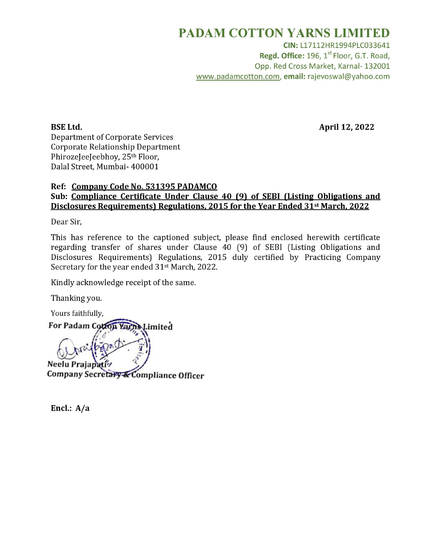### PADAM COTTON YARNS LIMITED

CIN: L17112HR1994PLC033641 Regd. Office: 196, 1<sup>st</sup> Floor, G.T. Road, Opp. Red Cross Market, Karnal- 132001 www.padamcotton.com, email: rajevoswal@yahoo.com

BSE Ltd. April 12, 2022

Department of Corporate Services Corporate Relationship Department PhirozeJeeJeebhoy, 25<sup>th</sup> Floor, Dalal Street, Mumbai- 400001

#### Ref: Company Code No. 531395 PADAMCO Sub: Compliance Certificate Under Clause 40 (9) of SEBI (Listing Obligations and Disclosures Requirements) Regulations, 2015 for the Year Ended 31st March, 2022

Dear Sir,

This has reference to the captioned subject, please find enclosed herewith certificate regarding transfer of shares under Clause 40 (9) of SEBI (Listing Obligations and Disclosures Requirements) Regulations, 2015 duly certified by Practicing Company Secretary for the year ended 31<sup>st</sup> March, 2022.

Kindly acknowledge receipt of the same.

Thanking you.

Yours faithfully,

For Padam Cotton Yarns Limited Neelu Prajapa Company Secretary & Compliance Officer

Encl.:  $A/a$